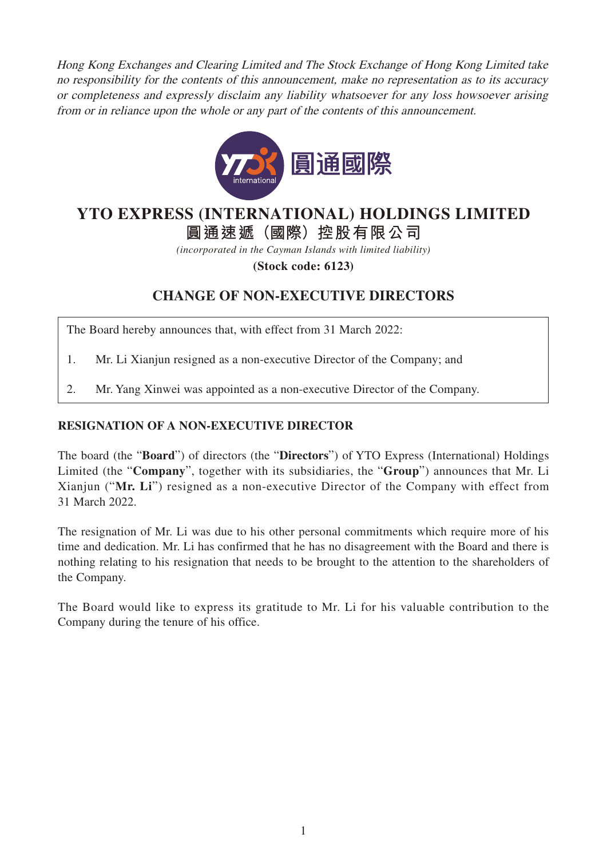Hong Kong Exchanges and Clearing Limited and The Stock Exchange of Hong Kong Limited take no responsibility for the contents of this announcement, make no representation as to its accuracy or completeness and expressly disclaim any liability whatsoever for any loss howsoever arising from or in reliance upon the whole or any part of the contents of this announcement.



## **YTO EXPRESS (INTERNATIONAL) HOLDINGS LIMITED**

**圓通速遞(國際)控股有限公司**

*(incorporated in the Cayman Islands with limited liability)*

**(Stock code: 6123)**

## **CHANGE OF NON-EXECUTIVE DIRECTORS**

The Board hereby announces that, with effect from 31 March 2022:

- 1. Mr. Li Xianjun resigned as a non-executive Director of the Company; and
- 2. Mr. Yang Xinwei was appointed as a non-executive Director of the Company.

## **RESIGNATION OF A NON-EXECUTIVE DIRECTOR**

The board (the "**Board**") of directors (the "**Directors**") of YTO Express (International) Holdings Limited (the "**Company**", together with its subsidiaries, the "**Group**") announces that Mr. Li Xianjun ("**Mr. Li**") resigned as a non-executive Director of the Company with effect from 31 March 2022.

The resignation of Mr. Li was due to his other personal commitments which require more of his time and dedication. Mr. Li has confirmed that he has no disagreement with the Board and there is nothing relating to his resignation that needs to be brought to the attention to the shareholders of the Company.

The Board would like to express its gratitude to Mr. Li for his valuable contribution to the Company during the tenure of his office.